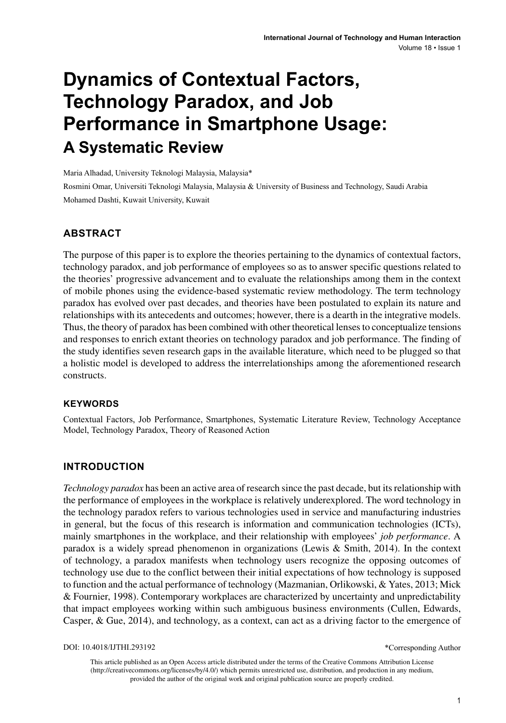# **Dynamics of Contextual Factors, Technology Paradox, and Job Performance in Smartphone Usage: A Systematic Review**

Maria Alhadad, University Teknologi Malaysia, Malaysia\*

Rosmini Omar, Universiti Teknologi Malaysia, Malaysia & University of Business and Technology, Saudi Arabia Mohamed Dashti, Kuwait University, Kuwait

## **ABSTRACT**

The purpose of this paper is to explore the theories pertaining to the dynamics of contextual factors, technology paradox, and job performance of employees so as to answer specific questions related to the theories' progressive advancement and to evaluate the relationships among them in the context of mobile phones using the evidence-based systematic review methodology. The term technology paradox has evolved over past decades, and theories have been postulated to explain its nature and relationships with its antecedents and outcomes; however, there is a dearth in the integrative models. Thus, the theory of paradox has been combined with other theoretical lenses to conceptualize tensions and responses to enrich extant theories on technology paradox and job performance. The finding of the study identifies seven research gaps in the available literature, which need to be plugged so that a holistic model is developed to address the interrelationships among the aforementioned research constructs.

#### **Keywords**

Contextual Factors, Job Performance, Smartphones, Systematic Literature Review, Technology Acceptance Model, Technology Paradox, Theory of Reasoned Action

### **INTRODUCTION**

*Technology paradox* has been an active area of research since the past decade, but its relationship with the performance of employees in the workplace is relatively underexplored. The word technology in the technology paradox refers to various technologies used in service and manufacturing industries in general, but the focus of this research is information and communication technologies (ICTs), mainly smartphones in the workplace, and their relationship with employees' *job performance*. A paradox is a widely spread phenomenon in organizations (Lewis & Smith, 2014). In the context of technology, a paradox manifests when technology users recognize the opposing outcomes of technology use due to the conflict between their initial expectations of how technology is supposed to function and the actual performance of technology (Mazmanian, Orlikowski, & Yates, 2013; Mick & Fournier, 1998). Contemporary workplaces are characterized by uncertainty and unpredictability that impact employees working within such ambiguous business environments (Cullen, Edwards, Casper, & Gue, 2014), and technology, as a context, can act as a driving factor to the emergence of

DOI: 10.4018/IJTHI.293192

\*Corresponding Author

This article published as an Open Access article distributed under the terms of the Creative Commons Attribution License (http://creativecommons.org/licenses/by/4.0/) which permits unrestricted use, distribution, and production in any medium, provided the author of the original work and original publication source are properly credited.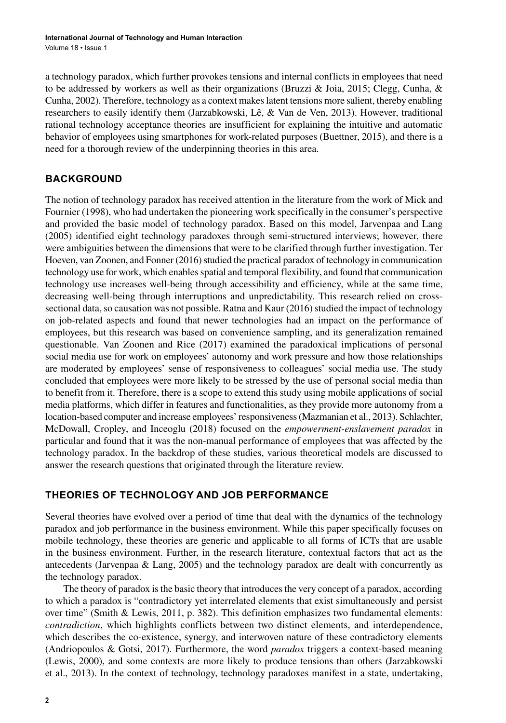a technology paradox, which further provokes tensions and internal conflicts in employees that need to be addressed by workers as well as their organizations (Bruzzi & Joia, 2015; Clegg, Cunha, & Cunha, 2002). Therefore, technology as a context makes latent tensions more salient, thereby enabling researchers to easily identify them (Jarzabkowski, Lê, & Van de Ven, 2013). However, traditional rational technology acceptance theories are insufficient for explaining the intuitive and automatic behavior of employees using smartphones for work-related purposes (Buettner, 2015), and there is a need for a thorough review of the underpinning theories in this area.

## **BACKGROUND**

The notion of technology paradox has received attention in the literature from the work of Mick and Fournier (1998), who had undertaken the pioneering work specifically in the consumer's perspective and provided the basic model of technology paradox. Based on this model, Jarvenpaa and Lang (2005) identified eight technology paradoxes through semi-structured interviews; however, there were ambiguities between the dimensions that were to be clarified through further investigation. Ter Hoeven, van Zoonen, and Fonner (2016) studied the practical paradox of technology in communication technology use for work, which enables spatial and temporal flexibility, and found that communication technology use increases well-being through accessibility and efficiency, while at the same time, decreasing well-being through interruptions and unpredictability. This research relied on crosssectional data, so causation was not possible. Ratna and Kaur (2016) studied the impact of technology on job-related aspects and found that newer technologies had an impact on the performance of employees, but this research was based on convenience sampling, and its generalization remained questionable. Van Zoonen and Rice (2017) examined the paradoxical implications of personal social media use for work on employees' autonomy and work pressure and how those relationships are moderated by employees' sense of responsiveness to colleagues' social media use. The study concluded that employees were more likely to be stressed by the use of personal social media than to benefit from it. Therefore, there is a scope to extend this study using mobile applications of social media platforms, which differ in features and functionalities, as they provide more autonomy from a location-based computer and increase employees' responsiveness (Mazmanian et al., 2013). Schlachter, McDowall, Cropley, and Inceoglu (2018) focused on the *empowerment-enslavement paradox* in particular and found that it was the non-manual performance of employees that was affected by the technology paradox. In the backdrop of these studies, various theoretical models are discussed to answer the research questions that originated through the literature review.

## **THEORIES OF TECHNOLOGY AND JOB PERFORMANCE**

Several theories have evolved over a period of time that deal with the dynamics of the technology paradox and job performance in the business environment. While this paper specifically focuses on mobile technology, these theories are generic and applicable to all forms of ICTs that are usable in the business environment. Further, in the research literature, contextual factors that act as the antecedents (Jarvenpaa & Lang, 2005) and the technology paradox are dealt with concurrently as the technology paradox.

The theory of paradox is the basic theory that introduces the very concept of a paradox, according to which a paradox is "contradictory yet interrelated elements that exist simultaneously and persist over time" (Smith & Lewis, 2011, p. 382). This definition emphasizes two fundamental elements: *contradiction*, which highlights conflicts between two distinct elements, and interdependence, which describes the co-existence, synergy, and interwoven nature of these contradictory elements (Andriopoulos & Gotsi, 2017). Furthermore, the word *paradox* triggers a context-based meaning (Lewis, 2000), and some contexts are more likely to produce tensions than others (Jarzabkowski et al., 2013). In the context of technology, technology paradoxes manifest in a state, undertaking,